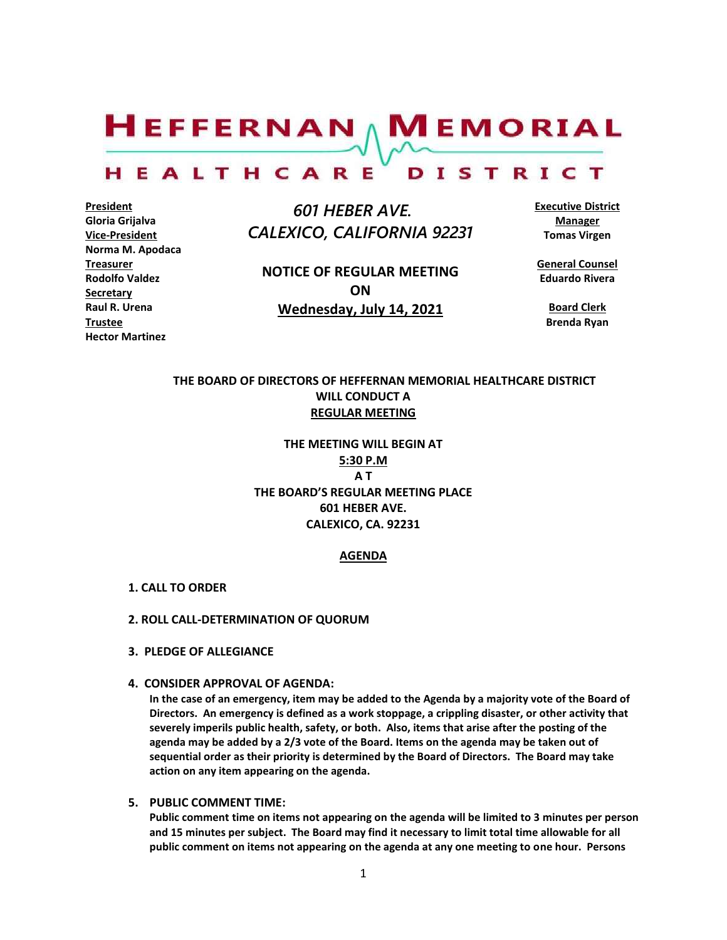$H$ EFFERNAN  $\wedge$  M EMORIAL

#### HEALTHCARE DISTRICT

**President Gloria Grijalva Vice-President Norma M. Apodaca Treasurer Rodolfo Valdez Secretary Raul R. Urena Trustee Hector Martinez**

 *601 HEBER AVE. CALEXICO, CALIFORNIA 92231*

**NOTICE OF REGULAR MEETING ON Wednesday, July 14, 2021**

**Executive District Manager Tomas Virgen**

**General Counsel Eduardo Rivera**

**Board Clerk Brenda Ryan**

#### **THE BOARD OF DIRECTORS OF HEFFERNAN MEMORIAL HEALTHCARE DISTRICT WILL CONDUCT A REGULAR MEETING**

**THE MEETING WILL BEGIN AT 5:30 P.M A T THE BOARD'S REGULAR MEETING PLACE 601 HEBER AVE. CALEXICO, CA. 92231**

#### **AGENDA**

- **1. CALL TO ORDER**
- **2. ROLL CALL-DETERMINATION OF QUORUM**
- **3. PLEDGE OF ALLEGIANCE**
- **4. CONSIDER APPROVAL OF AGENDA:**

**In the case of an emergency, item may be added to the Agenda by a majority vote of the Board of Directors. An emergency is defined as a work stoppage, a crippling disaster, or other activity that severely imperils public health, safety, or both. Also, items that arise after the posting of the agenda may be added by a 2/3 vote of the Board. Items on the agenda may be taken out of sequential order as their priority is determined by the Board of Directors. The Board may take action on any item appearing on the agenda.**

**5. PUBLIC COMMENT TIME:**

**Public comment time on items not appearing on the agenda will be limited to 3 minutes per person and 15 minutes per subject. The Board may find it necessary to limit total time allowable for all public comment on items not appearing on the agenda at any one meeting to one hour. Persons**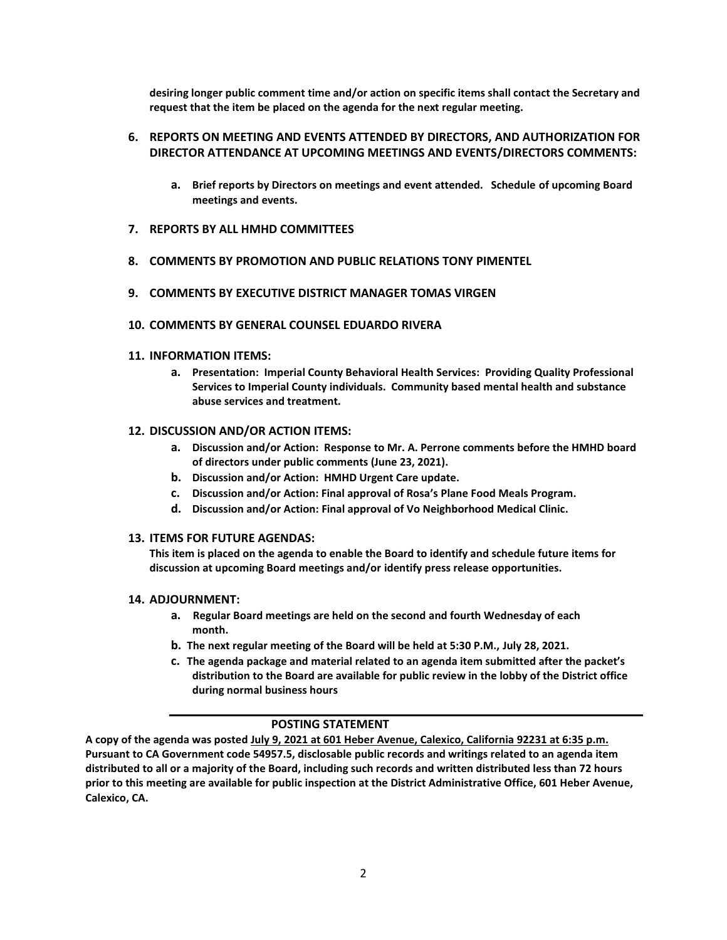**desiring longer public comment time and/or action on specific items shall contact the Secretary and request that the item be placed on the agenda for the next regular meeting.**

#### **6. REPORTS ON MEETING AND EVENTS ATTENDED BY DIRECTORS, AND AUTHORIZATION FOR DIRECTOR ATTENDANCE AT UPCOMING MEETINGS AND EVENTS/DIRECTORS COMMENTS:**

- **a. Brief reports by Directors on meetings and event attended. Schedule of upcoming Board meetings and events.**
- **7. REPORTS BY ALL HMHD COMMITTEES**
- **8. COMMENTS BY PROMOTION AND PUBLIC RELATIONS TONY PIMENTEL**
- **9. COMMENTS BY EXECUTIVE DISTRICT MANAGER TOMAS VIRGEN**
- **10. COMMENTS BY GENERAL COUNSEL EDUARDO RIVERA**

#### **11. INFORMATION ITEMS:**

**a. Presentation: Imperial County Behavioral Health Services: Providing Quality Professional Services to Imperial County individuals. Community based mental health and substance abuse services and treatment.**

#### **12. DISCUSSION AND/OR ACTION ITEMS:**

- **a. Discussion and/or Action: Response to Mr. A. Perrone comments before the HMHD board of directors under public comments (June 23, 2021).**
- **b. Discussion and/or Action: HMHD Urgent Care update.**
- **c. Discussion and/or Action: Final approval of Rosa's Plane Food Meals Program.**
- **d. Discussion and/or Action: Final approval of Vo Neighborhood Medical Clinic.**

#### **13. ITEMS FOR FUTURE AGENDAS:**

**This item is placed on the agenda to enable the Board to identify and schedule future items for discussion at upcoming Board meetings and/or identify press release opportunities.**

#### **14. ADJOURNMENT:**

- **a. Regular Board meetings are held on the second and fourth Wednesday of each month.**
- **b. The next regular meeting of the Board will be held at 5:30 P.M., July 28, 2021.**
- **c. The agenda package and material related to an agenda item submitted after the packet's distribution to the Board are available for public review in the lobby of the District office during normal business hours**

#### **POSTING STATEMENT**

**A copy of the agenda was posted July 9, 2021 at 601 Heber Avenue, Calexico, California 92231 at 6:35 p.m. Pursuant to CA Government code 54957.5, disclosable public records and writings related to an agenda item distributed to all or a majority of the Board, including such records and written distributed less than 72 hours prior to this meeting are available for public inspection at the District Administrative Office, 601 Heber Avenue, Calexico, CA.**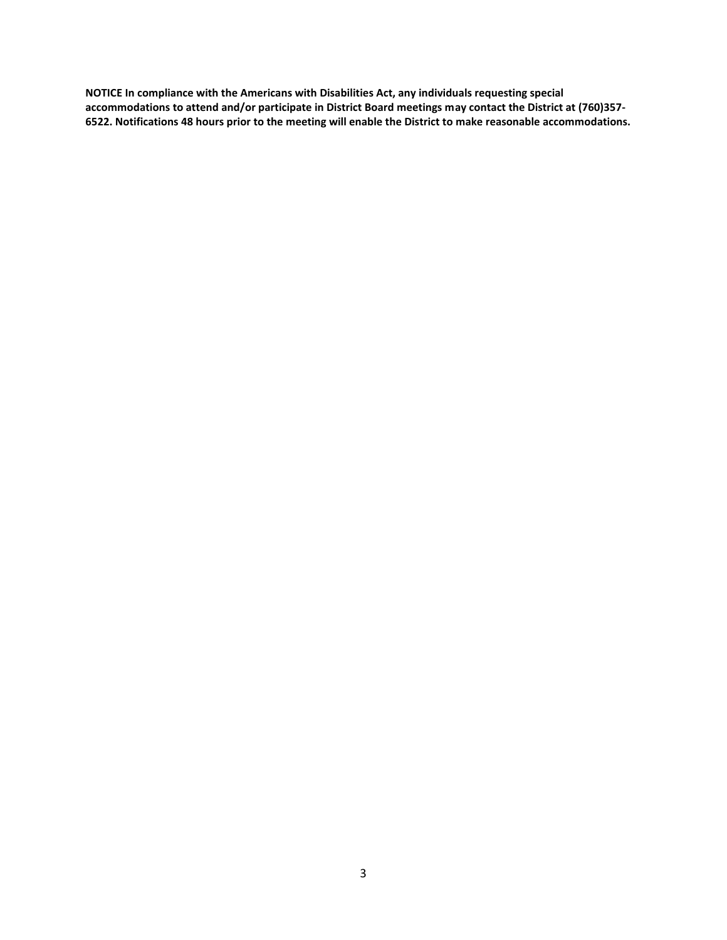**NOTICE In compliance with the Americans with Disabilities Act, any individuals requesting special accommodations to attend and/or participate in District Board meetings may contact the District at (760)357- 6522. Notifications 48 hours prior to the meeting will enable the District to make reasonable accommodations.**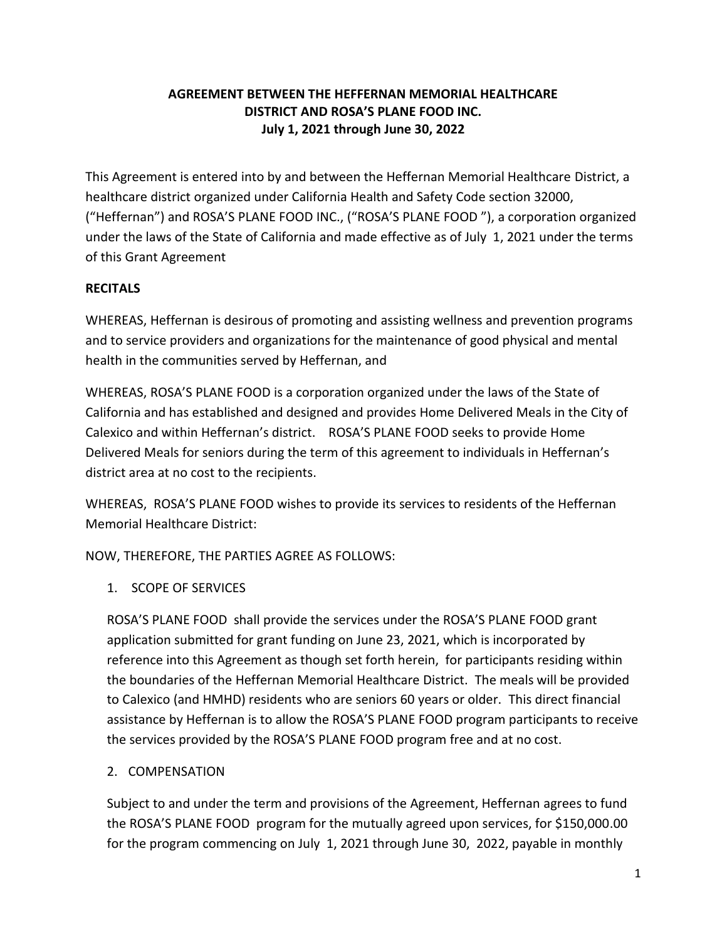# **AGREEMENT BETWEEN THE HEFFERNAN MEMORIAL HEALTHCARE DISTRICT AND ROSA'S PLANE FOOD INC. July 1, 2021 through June 30, 2022**

This Agreement is entered into by and between the Heffernan Memorial Healthcare District, a healthcare district organized under California Health and Safety Code section 32000, ("Heffernan") and ROSA'S PLANE FOOD INC., ("ROSA'S PLANE FOOD "), a corporation organized under the laws of the State of California and made effective as of July 1, 2021 under the terms of this Grant Agreement

## **RECITALS**

WHEREAS, Heffernan is desirous of promoting and assisting wellness and prevention programs and to service providers and organizations for the maintenance of good physical and mental health in the communities served by Heffernan, and

WHEREAS, ROSA'S PLANE FOOD is a corporation organized under the laws of the State of California and has established and designed and provides Home Delivered Meals in the City of Calexico and within Heffernan's district. ROSA'S PLANE FOOD seeks to provide Home Delivered Meals for seniors during the term of this agreement to individuals in Heffernan's district area at no cost to the recipients.

WHEREAS, ROSA'S PLANE FOOD wishes to provide its services to residents of the Heffernan Memorial Healthcare District:

NOW, THEREFORE, THE PARTIES AGREE AS FOLLOWS:

1. SCOPE OF SERVICES

ROSA'S PLANE FOOD shall provide the services under the ROSA'S PLANE FOOD grant application submitted for grant funding on June 23, 2021, which is incorporated by reference into this Agreement as though set forth herein, for participants residing within the boundaries of the Heffernan Memorial Healthcare District. The meals will be provided to Calexico (and HMHD) residents who are seniors 60 years or older. This direct financial assistance by Heffernan is to allow the ROSA'S PLANE FOOD program participants to receive the services provided by the ROSA'S PLANE FOOD program free and at no cost.

## 2. COMPENSATION

Subject to and under the term and provisions of the Agreement, Heffernan agrees to fund the ROSA'S PLANE FOOD program for the mutually agreed upon services, for \$150,000.00 for the program commencing on July 1, 2021 through June 30, 2022, payable in monthly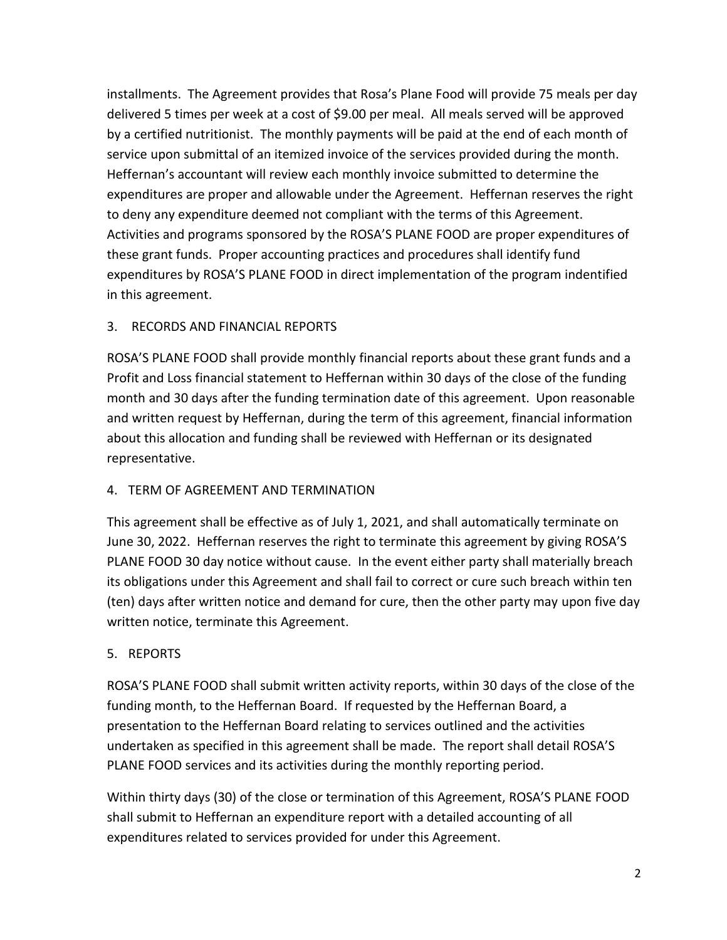installments. The Agreement provides that Rosa's Plane Food will provide 75 meals per day delivered 5 times per week at a cost of \$9.00 per meal. All meals served will be approved by a certified nutritionist. The monthly payments will be paid at the end of each month of service upon submittal of an itemized invoice of the services provided during the month. Heffernan's accountant will review each monthly invoice submitted to determine the expenditures are proper and allowable under the Agreement. Heffernan reserves the right to deny any expenditure deemed not compliant with the terms of this Agreement. Activities and programs sponsored by the ROSA'S PLANE FOOD are proper expenditures of these grant funds. Proper accounting practices and procedures shall identify fund expenditures by ROSA'S PLANE FOOD in direct implementation of the program indentified in this agreement.

# 3. RECORDS AND FINANCIAL REPORTS

ROSA'S PLANE FOOD shall provide monthly financial reports about these grant funds and a Profit and Loss financial statement to Heffernan within 30 days of the close of the funding month and 30 days after the funding termination date of this agreement. Upon reasonable and written request by Heffernan, during the term of this agreement, financial information about this allocation and funding shall be reviewed with Heffernan or its designated representative.

## 4. TERM OF AGREEMENT AND TERMINATION

This agreement shall be effective as of July 1, 2021, and shall automatically terminate on June 30, 2022. Heffernan reserves the right to terminate this agreement by giving ROSA'S PLANE FOOD 30 day notice without cause. In the event either party shall materially breach its obligations under this Agreement and shall fail to correct or cure such breach within ten (ten) days after written notice and demand for cure, then the other party may upon five day written notice, terminate this Agreement.

# 5. REPORTS

ROSA'S PLANE FOOD shall submit written activity reports, within 30 days of the close of the funding month, to the Heffernan Board. If requested by the Heffernan Board, a presentation to the Heffernan Board relating to services outlined and the activities undertaken as specified in this agreement shall be made. The report shall detail ROSA'S PLANE FOOD services and its activities during the monthly reporting period.

Within thirty days (30) of the close or termination of this Agreement, ROSA'S PLANE FOOD shall submit to Heffernan an expenditure report with a detailed accounting of all expenditures related to services provided for under this Agreement.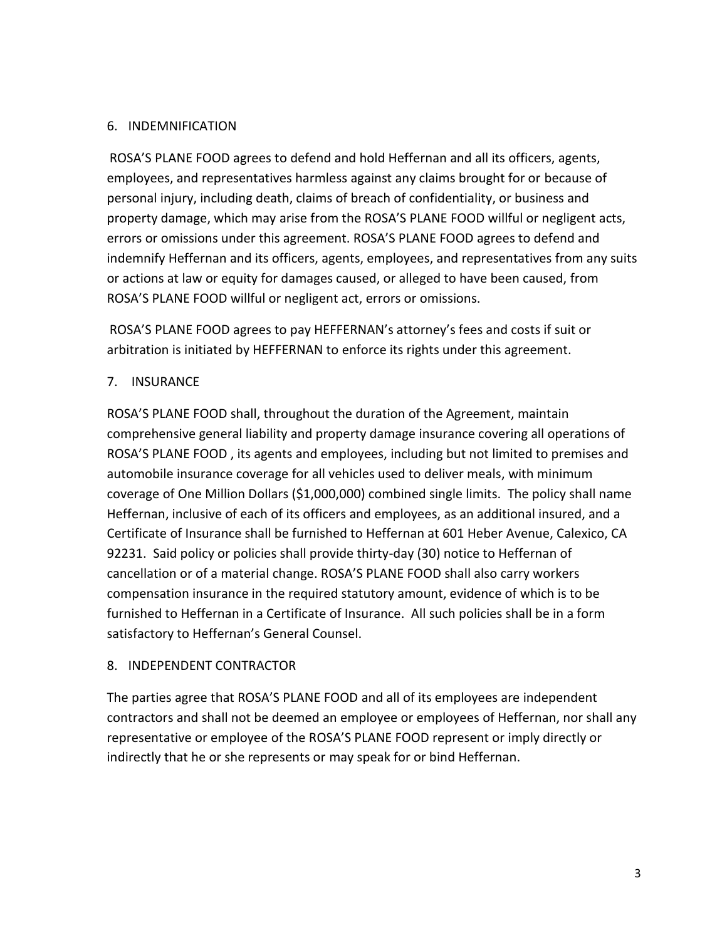#### 6. INDEMNIFICATION

ROSA'S PLANE FOOD agrees to defend and hold Heffernan and all its officers, agents, employees, and representatives harmless against any claims brought for or because of personal injury, including death, claims of breach of confidentiality, or business and property damage, which may arise from the ROSA'S PLANE FOOD willful or negligent acts, errors or omissions under this agreement. ROSA'S PLANE FOOD agrees to defend and indemnify Heffernan and its officers, agents, employees, and representatives from any suits or actions at law or equity for damages caused, or alleged to have been caused, from ROSA'S PLANE FOOD willful or negligent act, errors or omissions.

ROSA'S PLANE FOOD agrees to pay HEFFERNAN's attorney's fees and costs if suit or arbitration is initiated by HEFFERNAN to enforce its rights under this agreement.

7. INSURANCE

ROSA'S PLANE FOOD shall, throughout the duration of the Agreement, maintain comprehensive general liability and property damage insurance covering all operations of ROSA'S PLANE FOOD , its agents and employees, including but not limited to premises and automobile insurance coverage for all vehicles used to deliver meals, with minimum coverage of One Million Dollars (\$1,000,000) combined single limits. The policy shall name Heffernan, inclusive of each of its officers and employees, as an additional insured, and a Certificate of Insurance shall be furnished to Heffernan at 601 Heber Avenue, Calexico, CA 92231. Said policy or policies shall provide thirty-day (30) notice to Heffernan of cancellation or of a material change. ROSA'S PLANE FOOD shall also carry workers compensation insurance in the required statutory amount, evidence of which is to be furnished to Heffernan in a Certificate of Insurance. All such policies shall be in a form satisfactory to Heffernan's General Counsel.

## 8. INDEPENDENT CONTRACTOR

The parties agree that ROSA'S PLANE FOOD and all of its employees are independent contractors and shall not be deemed an employee or employees of Heffernan, nor shall any representative or employee of the ROSA'S PLANE FOOD represent or imply directly or indirectly that he or she represents or may speak for or bind Heffernan.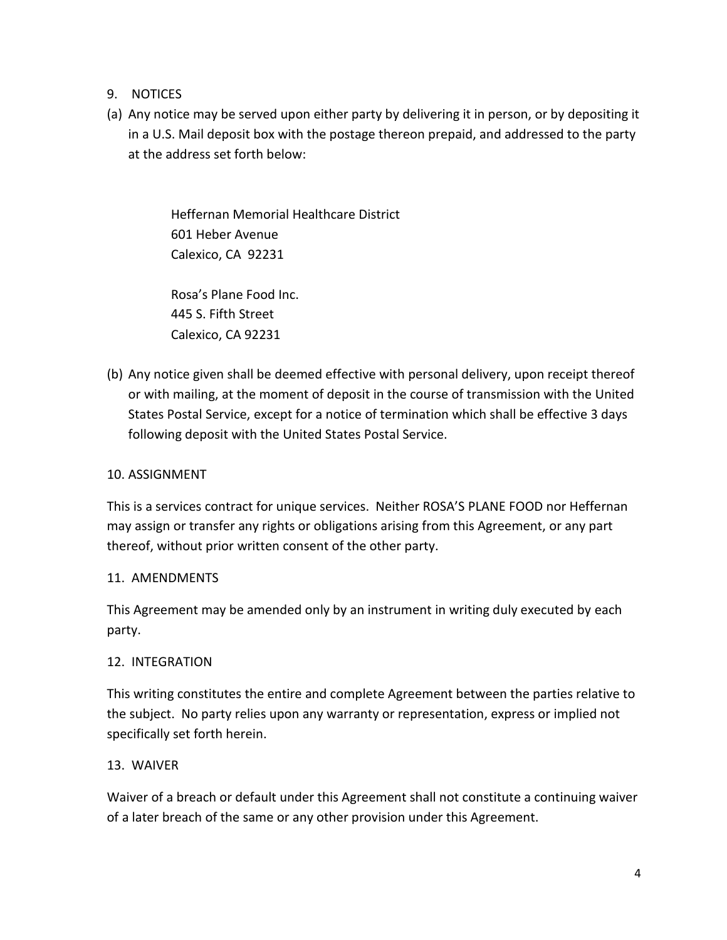- 9. NOTICES
- (a) Any notice may be served upon either party by delivering it in person, or by depositing it in a U.S. Mail deposit box with the postage thereon prepaid, and addressed to the party at the address set forth below:

Heffernan Memorial Healthcare District 601 Heber Avenue Calexico, CA 92231

Rosa's Plane Food Inc. 445 S. Fifth Street Calexico, CA 92231

(b) Any notice given shall be deemed effective with personal delivery, upon receipt thereof or with mailing, at the moment of deposit in the course of transmission with the United States Postal Service, except for a notice of termination which shall be effective 3 days following deposit with the United States Postal Service.

# 10. ASSIGNMENT

This is a services contract for unique services. Neither ROSA'S PLANE FOOD nor Heffernan may assign or transfer any rights or obligations arising from this Agreement, or any part thereof, without prior written consent of the other party.

## 11. AMENDMENTS

This Agreement may be amended only by an instrument in writing duly executed by each party.

## 12. INTEGRATION

This writing constitutes the entire and complete Agreement between the parties relative to the subject. No party relies upon any warranty or representation, express or implied not specifically set forth herein.

## 13. WAIVER

Waiver of a breach or default under this Agreement shall not constitute a continuing waiver of a later breach of the same or any other provision under this Agreement.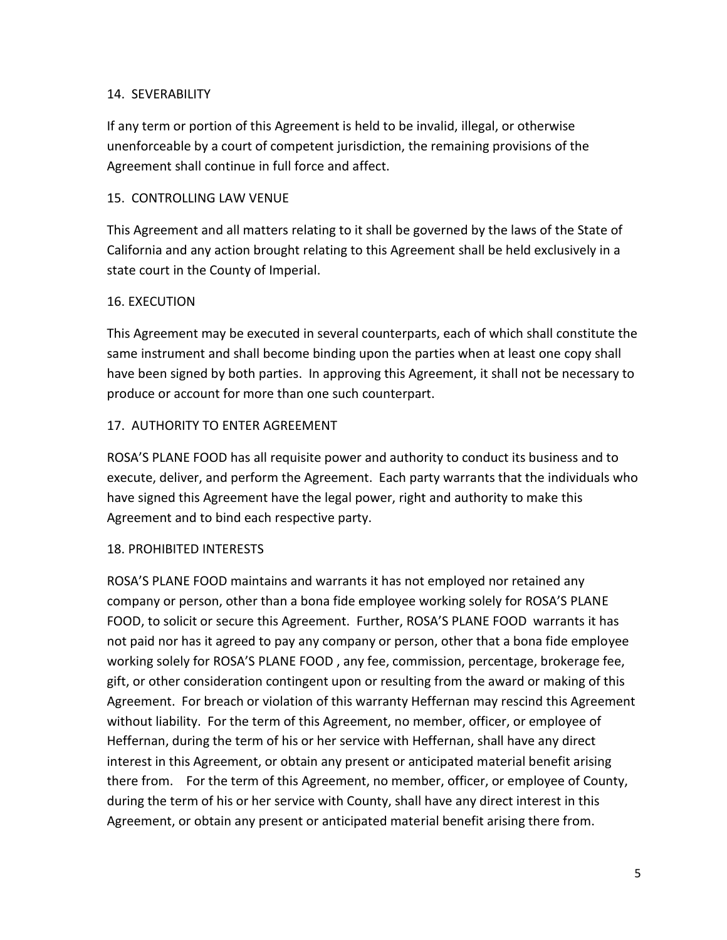#### 14. SEVERABILITY

If any term or portion of this Agreement is held to be invalid, illegal, or otherwise unenforceable by a court of competent jurisdiction, the remaining provisions of the Agreement shall continue in full force and affect.

#### 15. CONTROLLING LAW VENUE

This Agreement and all matters relating to it shall be governed by the laws of the State of California and any action brought relating to this Agreement shall be held exclusively in a state court in the County of Imperial.

#### 16. EXECUTION

This Agreement may be executed in several counterparts, each of which shall constitute the same instrument and shall become binding upon the parties when at least one copy shall have been signed by both parties. In approving this Agreement, it shall not be necessary to produce or account for more than one such counterpart.

#### 17. AUTHORITY TO ENTER AGREEMENT

ROSA'S PLANE FOOD has all requisite power and authority to conduct its business and to execute, deliver, and perform the Agreement. Each party warrants that the individuals who have signed this Agreement have the legal power, right and authority to make this Agreement and to bind each respective party.

## 18. PROHIBITED INTERESTS

ROSA'S PLANE FOOD maintains and warrants it has not employed nor retained any company or person, other than a bona fide employee working solely for ROSA'S PLANE FOOD, to solicit or secure this Agreement. Further, ROSA'S PLANE FOOD warrants it has not paid nor has it agreed to pay any company or person, other that a bona fide employee working solely for ROSA'S PLANE FOOD , any fee, commission, percentage, brokerage fee, gift, or other consideration contingent upon or resulting from the award or making of this Agreement. For breach or violation of this warranty Heffernan may rescind this Agreement without liability. For the term of this Agreement, no member, officer, or employee of Heffernan, during the term of his or her service with Heffernan, shall have any direct interest in this Agreement, or obtain any present or anticipated material benefit arising there from. For the term of this Agreement, no member, officer, or employee of County, during the term of his or her service with County, shall have any direct interest in this Agreement, or obtain any present or anticipated material benefit arising there from.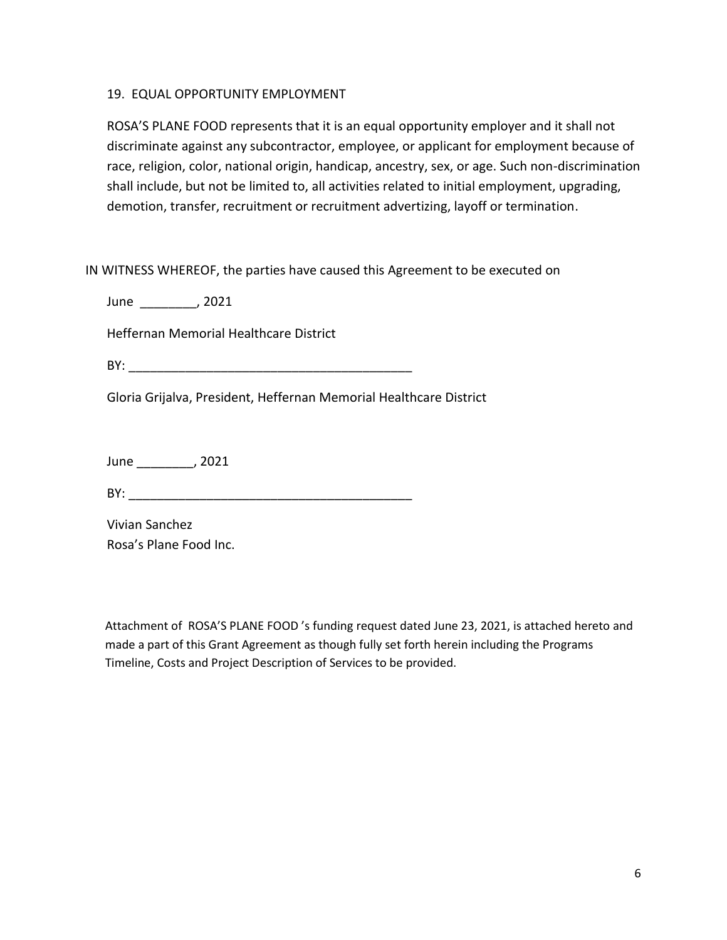#### 19. EQUAL OPPORTUNITY EMPLOYMENT

ROSA'S PLANE FOOD represents that it is an equal opportunity employer and it shall not discriminate against any subcontractor, employee, or applicant for employment because of race, religion, color, national origin, handicap, ancestry, sex, or age. Such non-discrimination shall include, but not be limited to, all activities related to initial employment, upgrading, demotion, transfer, recruitment or recruitment advertizing, layoff or termination.

IN WITNESS WHEREOF, the parties have caused this Agreement to be executed on

June \_\_\_\_\_\_\_\_, 2021

Heffernan Memorial Healthcare District

 $BY:$ 

Gloria Grijalva, President, Heffernan Memorial Healthcare District

June \_\_\_\_\_\_\_\_, 2021

 $BY:$ 

Vivian Sanchez Rosa's Plane Food Inc.

Attachment of ROSA'S PLANE FOOD 's funding request dated June 23, 2021, is attached hereto and made a part of this Grant Agreement as though fully set forth herein including the Programs Timeline, Costs and Project Description of Services to be provided.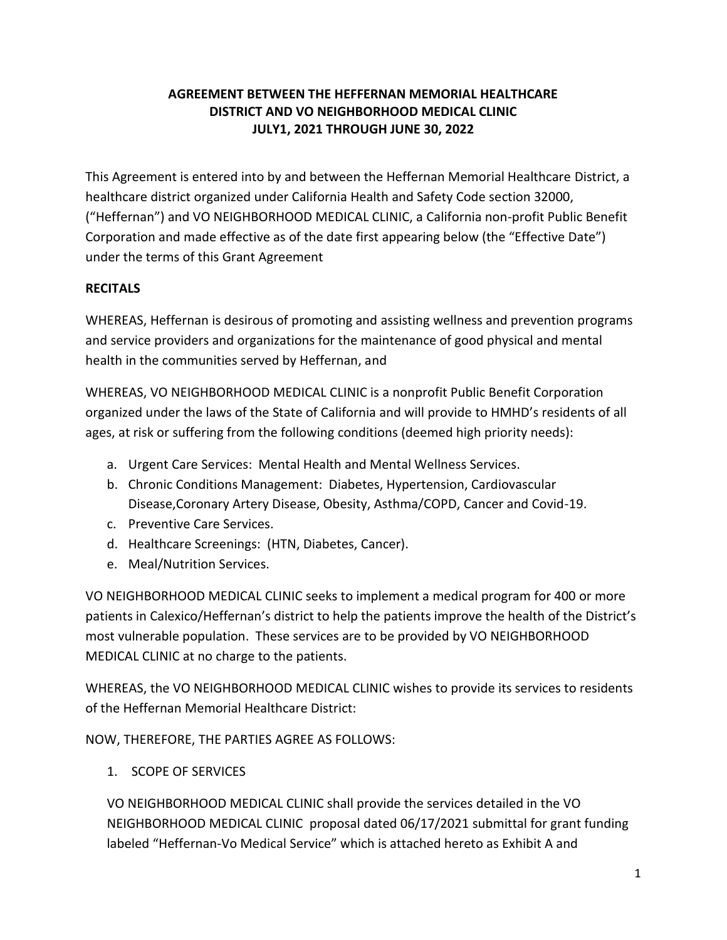# **AGREEMENT BETWEEN THE HEFFERNAN MEMORIAL HEALTHCARE DISTRICT AND VO NEIGHBORHOOD MEDICAL CLINIC JULY1, 2021 THROUGH JUNE 30, 2022**

This Agreement is entered into by and between the Heffernan Memorial Healthcare District, a healthcare district organized under California Health and Safety Code section 32000, ("Heffernan") and VO NEIGHBORHOOD MEDICAL CLINIC, a California non-profit Public Benefit Corporation and made effective as of the date first appearing below (the "Effective Date") under the terms of this Grant Agreement

# **RECITALS**

WHEREAS, Heffernan is desirous of promoting and assisting wellness and prevention programs and service providers and organizations for the maintenance of good physical and mental health in the communities served by Heffernan, and

WHEREAS, VO NEIGHBORHOOD MEDICAL CLINIC is a nonprofit Public Benefit Corporation organized under the laws of the State of California and will provide to HMHD's residents of all ages, at risk or suffering from the following conditions (deemed high priority needs):

- a. Urgent Care Services: Mental Health and Mental Wellness Services.
- b. Chronic Conditions Management: Diabetes, Hypertension, Cardiovascular Disease,Coronary Artery Disease, Obesity, Asthma/COPD, Cancer and Covid-19.
- c. Preventive Care Services.
- d. Healthcare Screenings: (HTN, Diabetes, Cancer).
- e. Meal/Nutrition Services.

VO NEIGHBORHOOD MEDICAL CLINIC seeks to implement a medical program for 400 or more patients in Calexico/Heffernan's district to help the patients improve the health of the District's most vulnerable population. These services are to be provided by VO NEIGHBORHOOD MEDICAL CLINIC at no charge to the patients.

WHEREAS, the VO NEIGHBORHOOD MEDICAL CLINIC wishes to provide its services to residents of the Heffernan Memorial Healthcare District:

NOW, THEREFORE, THE PARTIES AGREE AS FOLLOWS:

1. SCOPE OF SERVICES

VO NEIGHBORHOOD MEDICAL CLINIC shall provide the services detailed in the VO NEIGHBORHOOD MEDICAL CLINIC proposal dated 06/17/2021 submittal for grant funding labeled "Heffernan-Vo Medical Service" which is attached hereto as Exhibit A and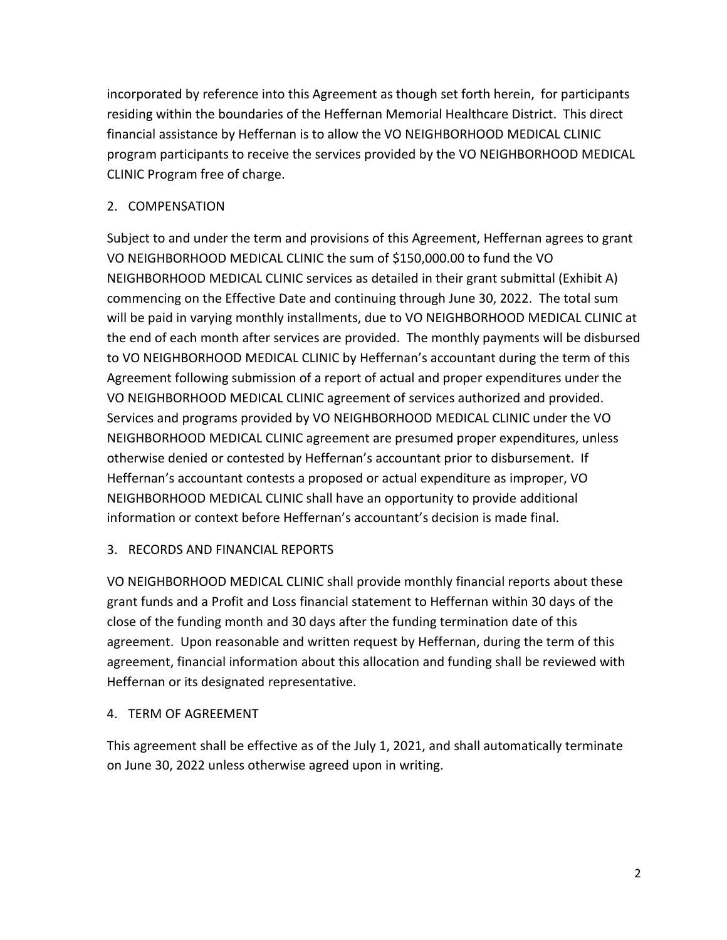incorporated by reference into this Agreement as though set forth herein, for participants residing within the boundaries of the Heffernan Memorial Healthcare District. This direct financial assistance by Heffernan is to allow the VO NEIGHBORHOOD MEDICAL CLINIC program participants to receive the services provided by the VO NEIGHBORHOOD MEDICAL CLINIC Program free of charge.

## 2. COMPENSATION

Subject to and under the term and provisions of this Agreement, Heffernan agrees to grant VO NEIGHBORHOOD MEDICAL CLINIC the sum of \$150,000.00 to fund the VO NEIGHBORHOOD MEDICAL CLINIC services as detailed in their grant submittal (Exhibit A) commencing on the Effective Date and continuing through June 30, 2022. The total sum will be paid in varying monthly installments, due to VO NEIGHBORHOOD MEDICAL CLINIC at the end of each month after services are provided. The monthly payments will be disbursed to VO NEIGHBORHOOD MEDICAL CLINIC by Heffernan's accountant during the term of this Agreement following submission of a report of actual and proper expenditures under the VO NEIGHBORHOOD MEDICAL CLINIC agreement of services authorized and provided. Services and programs provided by VO NEIGHBORHOOD MEDICAL CLINIC under the VO NEIGHBORHOOD MEDICAL CLINIC agreement are presumed proper expenditures, unless otherwise denied or contested by Heffernan's accountant prior to disbursement. If Heffernan's accountant contests a proposed or actual expenditure as improper, VO NEIGHBORHOOD MEDICAL CLINIC shall have an opportunity to provide additional information or context before Heffernan's accountant's decision is made final.

## 3. RECORDS AND FINANCIAL REPORTS

VO NEIGHBORHOOD MEDICAL CLINIC shall provide monthly financial reports about these grant funds and a Profit and Loss financial statement to Heffernan within 30 days of the close of the funding month and 30 days after the funding termination date of this agreement. Upon reasonable and written request by Heffernan, during the term of this agreement, financial information about this allocation and funding shall be reviewed with Heffernan or its designated representative.

## 4. TERM OF AGREEMENT

This agreement shall be effective as of the July 1, 2021, and shall automatically terminate on June 30, 2022 unless otherwise agreed upon in writing.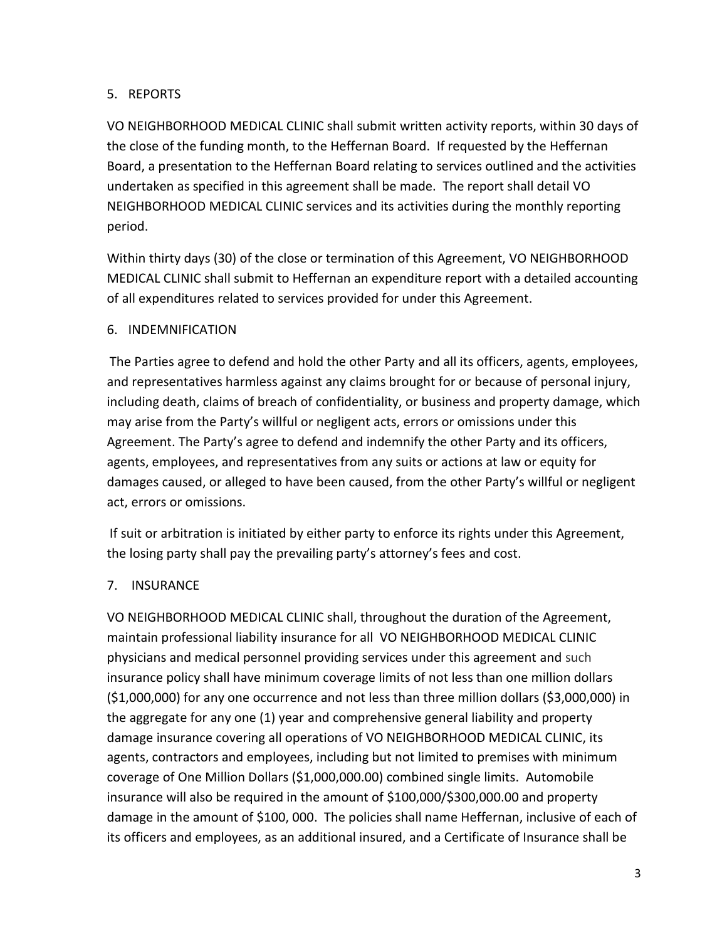# 5. REPORTS

VO NEIGHBORHOOD MEDICAL CLINIC shall submit written activity reports, within 30 days of the close of the funding month, to the Heffernan Board. If requested by the Heffernan Board, a presentation to the Heffernan Board relating to services outlined and the activities undertaken as specified in this agreement shall be made. The report shall detail VO NEIGHBORHOOD MEDICAL CLINIC services and its activities during the monthly reporting period.

Within thirty days (30) of the close or termination of this Agreement, VO NEIGHBORHOOD MEDICAL CLINIC shall submit to Heffernan an expenditure report with a detailed accounting of all expenditures related to services provided for under this Agreement.

## 6. INDEMNIFICATION

The Parties agree to defend and hold the other Party and all its officers, agents, employees, and representatives harmless against any claims brought for or because of personal injury, including death, claims of breach of confidentiality, or business and property damage, which may arise from the Party's willful or negligent acts, errors or omissions under this Agreement. The Party's agree to defend and indemnify the other Party and its officers, agents, employees, and representatives from any suits or actions at law or equity for damages caused, or alleged to have been caused, from the other Party's willful or negligent act, errors or omissions.

If suit or arbitration is initiated by either party to enforce its rights under this Agreement, the losing party shall pay the prevailing party's attorney's fees and cost.

## 7. INSURANCE

VO NEIGHBORHOOD MEDICAL CLINIC shall, throughout the duration of the Agreement, maintain professional liability insurance for all VO NEIGHBORHOOD MEDICAL CLINIC physicians and medical personnel providing services under this agreement and such insurance policy shall have minimum coverage limits of not less than one million dollars (\$1,000,000) for any one occurrence and not less than three million dollars (\$3,000,000) in the aggregate for any one (1) year and comprehensive general liability and property damage insurance covering all operations of VO NEIGHBORHOOD MEDICAL CLINIC, its agents, contractors and employees, including but not limited to premises with minimum coverage of One Million Dollars (\$1,000,000.00) combined single limits. Automobile insurance will also be required in the amount of \$100,000/\$300,000.00 and property damage in the amount of \$100, 000. The policies shall name Heffernan, inclusive of each of its officers and employees, as an additional insured, and a Certificate of Insurance shall be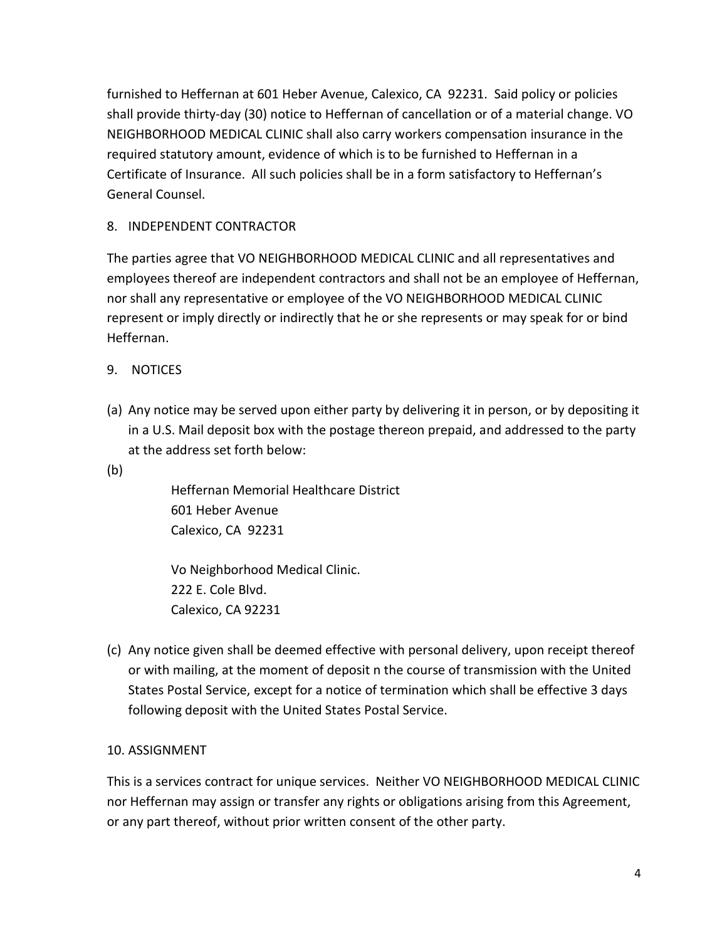furnished to Heffernan at 601 Heber Avenue, Calexico, CA 92231. Said policy or policies shall provide thirty-day (30) notice to Heffernan of cancellation or of a material change. VO NEIGHBORHOOD MEDICAL CLINIC shall also carry workers compensation insurance in the required statutory amount, evidence of which is to be furnished to Heffernan in a Certificate of Insurance. All such policies shall be in a form satisfactory to Heffernan's General Counsel.

# 8. INDEPENDENT CONTRACTOR

The parties agree that VO NEIGHBORHOOD MEDICAL CLINIC and all representatives and employees thereof are independent contractors and shall not be an employee of Heffernan, nor shall any representative or employee of the VO NEIGHBORHOOD MEDICAL CLINIC represent or imply directly or indirectly that he or she represents or may speak for or bind Heffernan.

## 9. NOTICES

(a) Any notice may be served upon either party by delivering it in person, or by depositing it in a U.S. Mail deposit box with the postage thereon prepaid, and addressed to the party at the address set forth below:

(b)

Heffernan Memorial Healthcare District 601 Heber Avenue Calexico, CA 92231

Vo Neighborhood Medical Clinic. 222 E. Cole Blvd. Calexico, CA 92231

(c) Any notice given shall be deemed effective with personal delivery, upon receipt thereof or with mailing, at the moment of deposit n the course of transmission with the United States Postal Service, except for a notice of termination which shall be effective 3 days following deposit with the United States Postal Service.

## 10. ASSIGNMENT

This is a services contract for unique services. Neither VO NEIGHBORHOOD MEDICAL CLINIC nor Heffernan may assign or transfer any rights or obligations arising from this Agreement, or any part thereof, without prior written consent of the other party.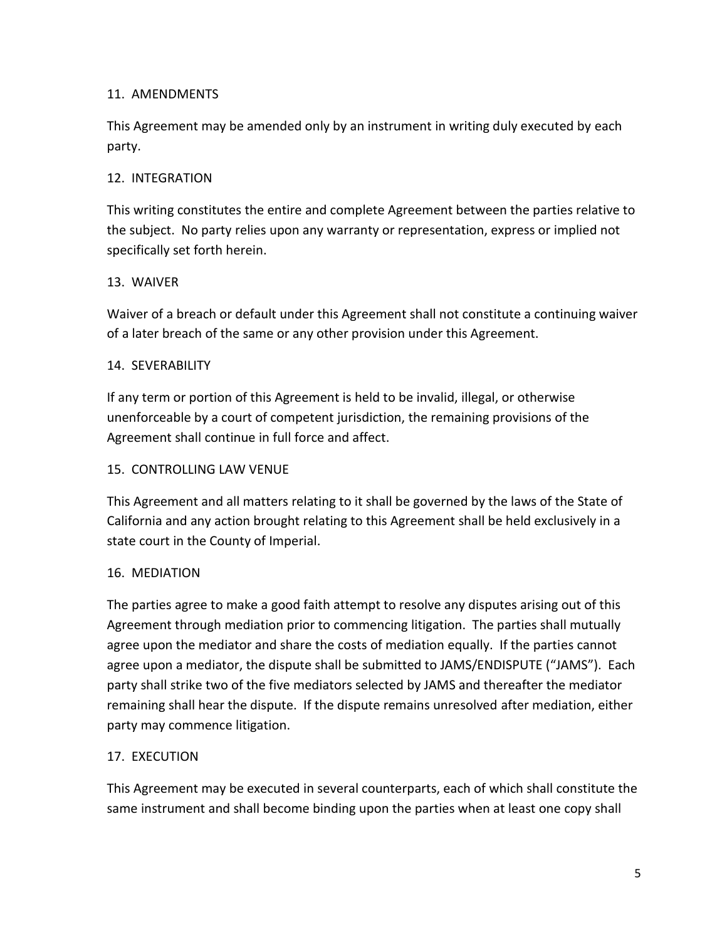#### 11. AMENDMENTS

This Agreement may be amended only by an instrument in writing duly executed by each party.

#### 12. INTEGRATION

This writing constitutes the entire and complete Agreement between the parties relative to the subject. No party relies upon any warranty or representation, express or implied not specifically set forth herein.

#### 13. WAIVER

Waiver of a breach or default under this Agreement shall not constitute a continuing waiver of a later breach of the same or any other provision under this Agreement.

#### 14. SEVERABILITY

If any term or portion of this Agreement is held to be invalid, illegal, or otherwise unenforceable by a court of competent jurisdiction, the remaining provisions of the Agreement shall continue in full force and affect.

#### 15. CONTROLLING LAW VENUE

This Agreement and all matters relating to it shall be governed by the laws of the State of California and any action brought relating to this Agreement shall be held exclusively in a state court in the County of Imperial.

#### 16. MEDIATION

The parties agree to make a good faith attempt to resolve any disputes arising out of this Agreement through mediation prior to commencing litigation. The parties shall mutually agree upon the mediator and share the costs of mediation equally. If the parties cannot agree upon a mediator, the dispute shall be submitted to JAMS/ENDISPUTE ("JAMS"). Each party shall strike two of the five mediators selected by JAMS and thereafter the mediator remaining shall hear the dispute. If the dispute remains unresolved after mediation, either party may commence litigation.

## 17. EXECUTION

This Agreement may be executed in several counterparts, each of which shall constitute the same instrument and shall become binding upon the parties when at least one copy shall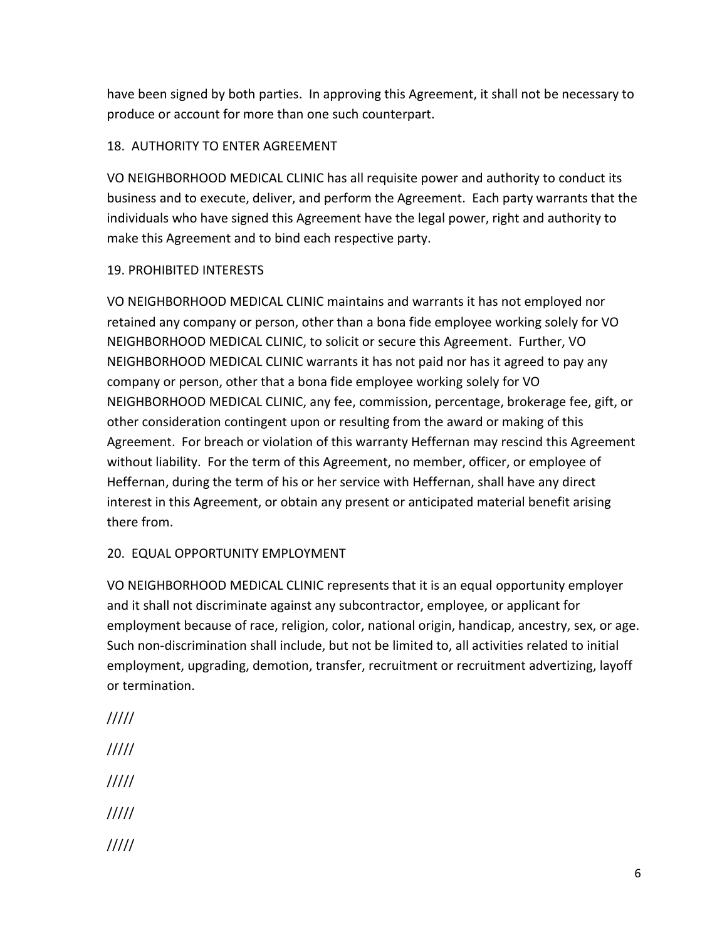have been signed by both parties. In approving this Agreement, it shall not be necessary to produce or account for more than one such counterpart.

# 18. AUTHORITY TO ENTER AGREEMENT

VO NEIGHBORHOOD MEDICAL CLINIC has all requisite power and authority to conduct its business and to execute, deliver, and perform the Agreement. Each party warrants that the individuals who have signed this Agreement have the legal power, right and authority to make this Agreement and to bind each respective party.

# 19. PROHIBITED INTERESTS

VO NEIGHBORHOOD MEDICAL CLINIC maintains and warrants it has not employed nor retained any company or person, other than a bona fide employee working solely for VO NEIGHBORHOOD MEDICAL CLINIC, to solicit or secure this Agreement. Further, VO NEIGHBORHOOD MEDICAL CLINIC warrants it has not paid nor has it agreed to pay any company or person, other that a bona fide employee working solely for VO NEIGHBORHOOD MEDICAL CLINIC, any fee, commission, percentage, brokerage fee, gift, or other consideration contingent upon or resulting from the award or making of this Agreement. For breach or violation of this warranty Heffernan may rescind this Agreement without liability. For the term of this Agreement, no member, officer, or employee of Heffernan, during the term of his or her service with Heffernan, shall have any direct interest in this Agreement, or obtain any present or anticipated material benefit arising there from.

## 20. EQUAL OPPORTUNITY EMPLOYMENT

VO NEIGHBORHOOD MEDICAL CLINIC represents that it is an equal opportunity employer and it shall not discriminate against any subcontractor, employee, or applicant for employment because of race, religion, color, national origin, handicap, ancestry, sex, or age. Such non-discrimination shall include, but not be limited to, all activities related to initial employment, upgrading, demotion, transfer, recruitment or recruitment advertizing, layoff or termination.

///// ///// ///// ///// /////